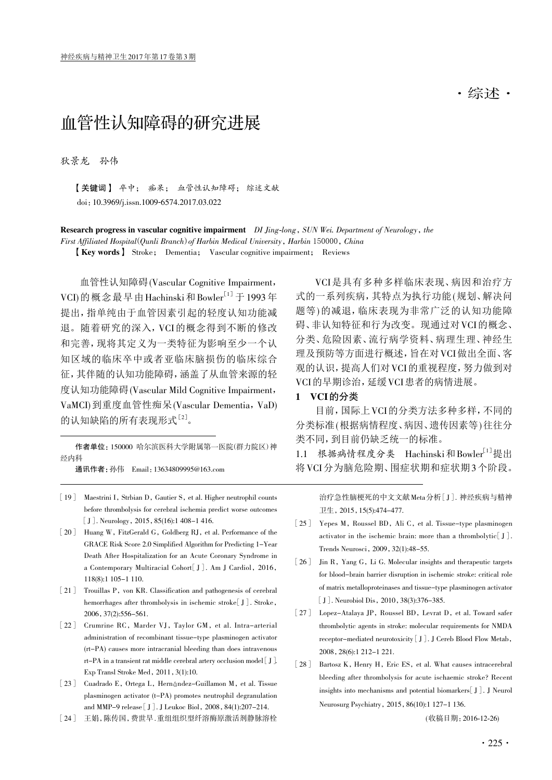# 血管性认知障碍的研究进展

狄景龙 孙伟

【关键词】 卒中; 痴呆; 血管性认知障碍; 综述文献 doi:10.3969/j.issn.1009-6574.2017.03.022

Research progress in vascular cognitive impairment DI Jing-long, SUN Wei. Department of Neurology, the First Affiliated Hospital(Qunli Branch) of Harbin Medical University, Harbin 150000, China

【Key words】 Stroke; Dementia; Vascular cognitive impairment; Reviews

血管性认知障碍(Vascular Cognitive Impairment, VCI)的概念最早由Hachinski和Bowler<sup>[1]</sup>于1993年 提出,指单纯由于血管因素引起的轻度认知功能减 退。随着研究的深入,VCI的概念得到不断的修改 和完善,现将其定义为一类特征为影响至少一个认 知区域的临床卒中或者亚临床脑损伤的临床综合 征,其伴随的认知功能障碍,涵盖了从血管来源的轻 度认知功能障碍(Vascular Mild Cognitive Impairment, VaMCI)到重度血管性痴呆(Vascular Dementia, VaD) 的认知缺陷的所有表现形式[2]。

作者单位:150000 哈尔滨医科大学附属第一医院(群力院区)神 经内科

通讯作者:孙伟 Email:13634809995@163.com

- [19] Maestrini I, Strbian D, Gautier S, et al. Higher neutrophil counts before thrombolysis for cerebral ischemia predict worse outcomes [J]. Neurology, 2015, 85(16):1 408-1 416.
- [20] Huang W, FitzGerald G, Goldberg RJ, et al. Performance of the GRACE Risk Score 2.0 Simplified Algorithm for Predicting 1-Year Death After Hospitalization for an Acute Coronary Syndrome in a Contemporary Multiracial Cohort[J]. Am J Cardiol, 2016, 118(8):1 105-1 110.
- [21] Trouillas P, von KR. Classification and pathogenesis of cerebral hemorrhages after thrombolysis in ischemic stroke[J]. Stroke, 2006,37(2):556-561.
- [22] Crumrine RC, Marder VJ, Taylor GM, et al. Intra-arterial administration of recombinant tissue-type plasminogen activator (rt-PA) causes more intracranial bleeding than does intravenous rt-PA in a transient rat middle cerebral artery occlusion model [J]. Exp Transl Stroke Med, 2011, 3(1):10.
- [23] Cuadrado E, Ortega L, Hernández-Guillamon M, et al. Tissue plasminogen activator (t-PA) promotes neutrophil degranulation and MMP-9 release [J]. J Leukoc Biol, 2008,84(1):207-214.
- [24] 王娟,陈传国,费世早 . 重组组织型纤溶酶原激活剂静脉溶栓

VCI是具有多种多样临床表现、病因和治疗方 式的一系列疾病,其特点为执行功能(规划、解决问 题等)的减退,临床表现为非常广泛的认知功能障 碍、非认知特征和行为改变。现通过对VCI的概念、 分类、危险因素、流行病学资料、病理生理、神经生 理及预防等方面进行概述,旨在对VCI做出全面、客 观的认识,提高人们对VCI的重视程度,努力做到对 VCI的早期诊治,延缓VCI患者的病情进展。

#### 1 VCI的分类

目前,国际上VCI的分类方法多种多样,不同的 分类标准(根据病情程度、病因、遗传因素等)往往分 类不同,到目前仍缺乏统一的标准。

1.1 根据病情程度分类 Hachinski和Bowler<sup>[1]</sup>提出 将VCI分为脑危险期、围症状期和症状期3个阶段。

> 治疗急性脑梗死的中文文献 Meta 分析[J]. 神经疾病与精神 卫生, 2015,15(5):474-477.

- [25] Yepes M, Roussel BD, Ali C, et al. Tissue-type plasminogen activator in the ischemic brain: more than a thrombolytic<sup>[J]</sup>. Trends Neurosci, 2009,32(1):48-55.
- [26] Jin R, Yang G, Li G. Molecular insights and therapeutic targets for blood-brain barrier disruption in ischemic stroke: critical role of matrix metalloproteinases and tissue-type plasminogen activator [J]. Neurobiol Dis, 2010, 38(3):376-385.
- [27] Lopez-Atalaya JP, Roussel BD, Levrat D, et al. Toward safer thrombolytic agents in stroke: molecular requirements for NMDA receptor-mediated neurotoxicity [J]. J Cereb Blood Flow Metab, 2008,28(6):1 212-1 221.
- [28] Bartosz K, Henry H, Eric ES, et al. What causes intracerebral bleeding after thrombolysis for acute ischaemic stroke? Recent insights into mechanisms and potential biomarkers[J]. J Neurol Neurosurg Psychiatry, 2015,86(10):1 127-1 136.

( 收稿日期:2016-12-26)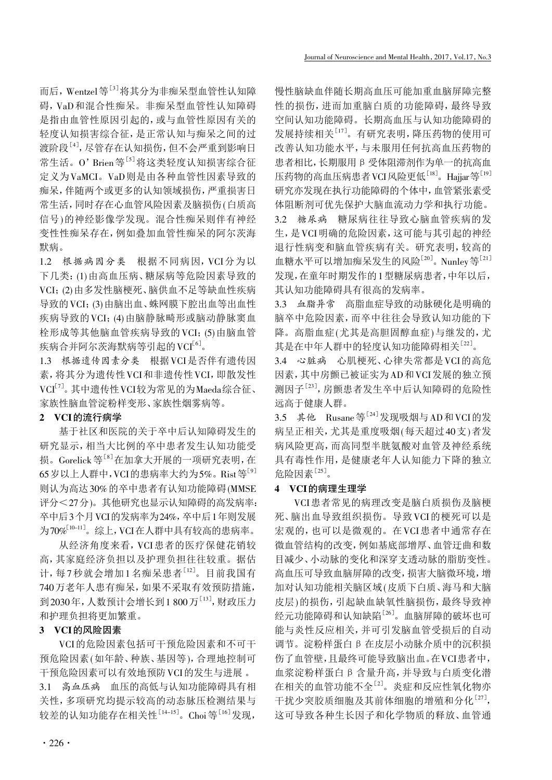而后,Wentzel等<sup>[3]</sup>将其分为非痴呆型血管性认知障 碍,VaD和混合性痴呆。非痴呆型血管性认知障碍 是指由血管性原因引起的,或与血管性原因有关的 轻度认知损害综合征,是正常认知与痴呆之间的过 渡阶段<sup>[4]</sup>, 尽管存在认知损伤, 但不会严重到影响日 常生活。O'Brien等<sup>[5]</sup>将这类轻度认知损害综合征 定义为VaMCI。VaD则是由各种血管性因素导致的 痴呆,伴随两个或更多的认知领域损伤,严重损害日 常生活,同时存在心血管风险因素及脑损伤(白质高 信号)的神经影像学发现。混合性痴呆则伴有神经 变性性痴呆存在,例如叠加血管性痴呆的阿尔茨海 默病。

1.2 根据病因分类 根据不同病因,VCI分为以 下几类:(1)由高血压病、糖尿病等危险因素导致的 VCI;(2)由多发性脑梗死、脑供血不足等缺血性疾病 导致的VCI;(3)由脑出血、蛛网膜下腔出血等出血性 疾病导致的 VCI; (4) 由脑静脉畸形或脑动静脉窦血 栓形成等其他脑血管疾病导致的VCI;(5)由脑血管 疾病合并阿尔茨海默病等引起的VCI<sup>[6]</sup>。

1.3 根据遗传因素分类 根据VCI是否伴有遗传因 素,将其分为遗传性VCI和非遗传性VCI,即散发性 VCI[7] 。其中遗传性VCI较为常见的为Maeda综合征、 家族性脑血管淀粉样变形、家族性烟雾病等。

#### 2 VCI的流行病学

基于社区和医院的关于卒中后认知障碍发生的 研究显示,相当大比例的卒中患者发生认知功能受 损。Gorelick等<sup>[8]</sup>在加拿大开展的一项研究表明,在 65岁以上人群中, VCI的患病率大约为5%。Rist等 $[9]$ 则认为高达30%的卒中患者有认知功能障碍(MMSE 评分<27分)。其他研究也显示认知障碍的高发病率: 卒中后3个月VCI的发病率为24%,卒中后1年则发展 为70%[10-11]。综上, VCI在人群中具有较高的患病率。

从经济角度来看,VCI患者的医疗保健花销较 高,其家庭经济负担以及护理负担往往较重。据估 计,每7秒就会增加1名痴呆患者<sup>[12]</sup>。目前我国有 740万老年人患有痴呆,如果不采取有效预防措施, 到2030年, 人数预计会增长到1 800万<sup>[13]</sup>, 财政压力 和护理负担将更加繁重。

## 3 VCI的风险因素

VCI的危险因素包括可干预危险因素和不可干 预危险因素(如年龄、种族、基因等),合理地控制可 干预危险因素可以有效地预防VCI的发生与进展 。

3.1 高血压病 血压的高低与认知功能障碍具有相 关性,多项研究均提示较高的动态脉压检测结果与 较差的认知功能存在相关性<sup>[14-15]</sup>。Choi等<sup>[16]</sup>发现, 慢性脑缺血伴随长期高血压可能加重血脑屏障完整 性的损伤,进而加重脑白质的功能障碍,最终导致 空间认知功能障碍。长期高血压与认知功能障碍的 发展持续相关[17] 。有研究表明,降压药物的使用可 改善认知功能水平,与未服用任何抗高血压药物的 患者相比,长期服用β受体阻滞剂作为单一的抗高血 压药物的高血压病患者VCI风险更低<sup>[18]</sup>。Hajjar等<sup>[19]</sup> 研究亦发现在执行功能障碍的个体中,血管紧张素受 体阻断剂可优先保护大脑血流动力学和执行功能。 3.2 糖尿病 糖尿病往往导致心脑血管疾病的发

生,是VCI明确的危险因素,这可能与其引起的神经 退行性病变和脑血管疾病有关。研究表明,较高的 血糖水平可以增加痴呆发生的风险[20] 。Nunley等[21] 发现,在童年时期发作的1型糖尿病患者,中年以后, 其认知功能障碍具有很高的发病率。

3.3 血脂异常 高脂血症导致的动脉硬化是明确的 脑卒中危险因素,而卒中往往会导致认知功能的下 降。高脂血症(尤其是高胆固醇血症)与继发的,尤 其是在中年人群中的轻度认知功能障碍相关[22] 。

3.4 心脏病 心肌梗死、心律失常都是VCI的高危 因素,其中房颤已被证实为AD和VCI发展的独立预 测因子<sup>[23]</sup>, 房颤患者发生卒中后认知障碍的危险性 远高于健康人群。

3.5 其他 Rusane等 $^{[24]}$ 发现吸烟与AD和VCI的发 病呈正相关,尤其是重度吸烟(每天超过40支)者发 病风险更高,而高同型半胱氨酸对血管及神经系统 具有毒性作用,是健康老年人认知能力下降的独立 危险因素[25] 。

#### 4 VCI的病理生理学

VCI患者常见的病理改变是脑白质损伤及脑梗 死、脑出血导致组织损伤。导致VCI的梗死可以是 宏观的,也可以是微观的。在VCI患者中通常存在 微血管结构的改变,例如基底部增厚、血管迂曲和数 目减少、小动脉的变化和深穿支透动脉的脂肪变性。 高血压可导致血脑屏障的改变,损害大脑微环境,增 加对认知功能相关脑区域(皮质下白质、海马和大脑 皮层)的损伤,引起缺血缺氧性脑损伤,最终导致神 经元功能障碍和认知缺陷<sup>[26]</sup>。血脑屏障的破坏也可 能与炎性反应相关,并可引发脑血管受损后的自动 调节。淀粉样蛋白β在皮层小动脉介质中的沉积损 伤了血管壁,且最终可能导致脑出血。在VCI患者中, 血浆淀粉样蛋白β含量升高,并导致与白质变化潜 在相关的血管功能不全[2] 。炎症和反应性氧化物亦 干扰少突胶质细胞及其前体细胞的增殖和分化[27], 这可导致各种生长因子和化学物质的释放、血管通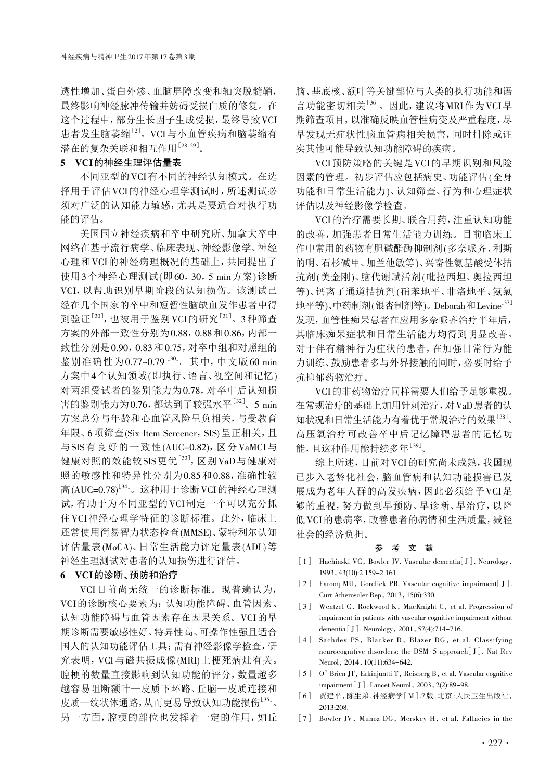透性增加、蛋白外渗、血脑屏障改变和轴突脱髓鞘, 最终影响神经脉冲传输并妨碍受损白质的修复。在 这个过程中,部分生长因子生成受损,最终导致VCI 患者发生脑萎缩<sup>[2]</sup>。VCI与小血管疾病和脑萎缩有 潜在的复杂关联和相互作用[28-29] 。

#### 5 VCI的神经生理评估量表

不同亚型的VCI有不同的神经认知模式。在选 择用于评估VCI的神经心理学测试时,所述测试必 须对广泛的认知能力敏感,尤其是要适合对执行功 能的评估。

美国国立神经疾病和卒中研究所、加拿大卒中 网络在基于流行病学、临床表现、神经影像学、神经 心理和VCI的神经病理概况的基础上,共同提出了 使用3个神经心理测试(即60,30,5 min方案)诊断 VCI,以帮助识别早期阶段的认知损伤。该测试已 经在几个国家的卒中和短暂性脑缺血发作患者中得 到验证<sup>[30]</sup>, 也被用于鉴别VCI的研究<sup>[31]</sup>。3种筛查 方案的外部一致性分别为0.88,0.88和0.86,内部一 致性分别是0.90,0.83和0.75,对卒中组和对照组的 鉴别准确性为0.77~0.79<sup>[30]</sup>。其中, 中文版60 min 方案中4个认知领域(即执行、语言、视空间和记忆) 对两组受试者的鉴别能力为0.78,对卒中后认知损 害的鉴别能力为0.76, 都达到了较强水平<sup>[32]</sup>。5 min 方案总分与年龄和心血管风险呈负相关,与受教育 年限、6项筛查(Six Item Screener, SIS) 呈正相关, 且 与SIS有良好的一致性(AUC=0.82),区分VaMCI与 健康对照的效能较SIS更优<sup>[33]</sup>, 区别VaD与健康对 照的敏感性和特异性分别为0.85和0.88,准确性较 高(AUC=0.78)<sup>[34]</sup>。这种用于诊断 VCI 的神经心理测 试,有助于为不同亚型的VCI制定一个可以充分抓 住VCI神经心理学特征的诊断标准。此外,临床上 还常使用简易智力状态检查(MMSE)、蒙特利尔认知 评估量表(MoCA)、日常生活能力评定量表(ADL)等 神经生理测试对患者的认知损伤进行评估。

### 6 VCI的诊断、预防和治疗

VCI目前尚无统一的诊断标准。现普遍认为, VCI的诊断核心要素为:认知功能障碍、血管因素、 认知功能障碍与血管因素存在因果关系。VCI的早 期诊断需要敏感性好、特异性高、可操作性强且适合 国人的认知功能评估工具;需有神经影像学检查,研 究表明,VCI与磁共振成像(MRI)上梗死病灶有关。 腔梗的数量直接影响到认知功能的评分,数量越多 越容易阻断额叶—皮质下环路、丘脑—皮质连接和 皮质一纹状体通路,从而更易导致认知功能损伤<sup>[35]</sup>。 另一方面,腔梗的部位也发挥着一定的作用,如丘

脑、基底核、额叶等关键部位与人类的执行功能和语 言功能密切相关<sup>[36]</sup>。因此,建议将MRI作为VCI早 期筛查项目,以准确反映血管性病变及严重程度,尽 早发现无症状性脑血管病相关损害,同时排除或证 实其他可能导致认知功能障碍的疾病。

VCI预防策略的关键是VCI的早期识别和风险 因素的管理。初步评估应包括病史、功能评估(全身 功能和日常生活能力)、认知筛查、行为和心理症状 评估以及神经影像学检查。

VCI的治疗需要长期、联合用药,注重认知功能 的改善,加强患者日常生活能力训练。目前临床工 作中常用的药物有胆碱酯酶抑制剂(多奈哌齐、利斯 的明、石杉碱甲、加兰他敏等)、兴奋性氨基酸受体拮 抗剂(美金刚)、脑代谢赋活剂(吡拉西坦、奥拉西坦 等)、钙离子通道拮抗剂(硝苯地平、非洛地平、氨氯 地平等)、中药制剂(银杏制剂等)。Deborah和Levine[37] 发现,血管性痴呆患者在应用多奈哌齐治疗半年后, 其临床痴呆症状和日常生活能力均得到明显改善。 对于伴有精神行为症状的患者,在加强日常行为能 力训练、鼓励患者多与外界接触的同时,必要时给予 抗抑郁药物治疗。

VCI的非药物治疗同样需要人们给予足够重视。 在常规治疗的基础上加用针刺治疗,对VaD患者的认 知状况和日常生活能力有着优于常规治疗的效果[38] 。 高压氧治疗可改善卒中后记忆障碍患者的记忆功 能,且这种作用能持续多年[39] 。

综上所述,目前对VCI的研究尚未成熟,我国现 已步入老龄化社会,脑血管病和认知功能损害已发 展成为老年人群的高发疾病,因此必须给予VCI足 够的重视,努力做到早预防、早诊断、早治疗,以降 低VCI的患病率,改善患者的病情和生活质量,减轻 社会的经济负担。

#### 参 考 文 献

- [1] Hachinski VC, Bowler JV. Vascular dementia[J]. Neurology, 1993,43(10):2 159-2 161.
- [2] Farooq MU, Gorelick PB. Vascular cognitive impairment[J]. Curr Atheroscler Rep, 2013,15(6):330.
- [3] Wentzel C, Rockwood K, MacKnight C, et al. Progression of impairment in patients with vascular cognitive impairment without dementia [J]. Neurology, 2001, 57(4):714-716.
- [4] Sachdev PS, Blacker D, Blazer DG, et al. Classifying neurocognitive disorders: the DSM-5 approach[J]. Nat Rev Neurol, 2014, 10(11):634-642.
- [5] O'Brien JT, Erkinjuntti T, Reisberg B, et al. Vascular cognitive impairment [J]. Lancet Neurol, 2003,2(2):89-98.
- [6] 贾建平,陈生弟 . 神经病学[M].7 版 . 北京 : 人民卫生出版社, 2013:208.
- [7] Bowler JV, Munoz DG, Merskey H, et al. Fallacies in the